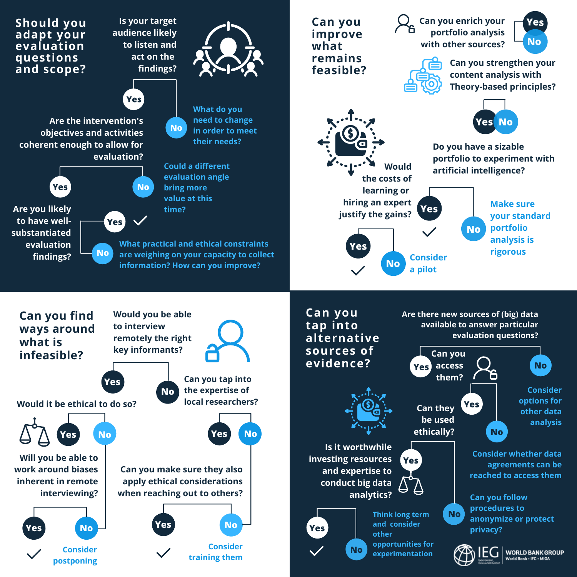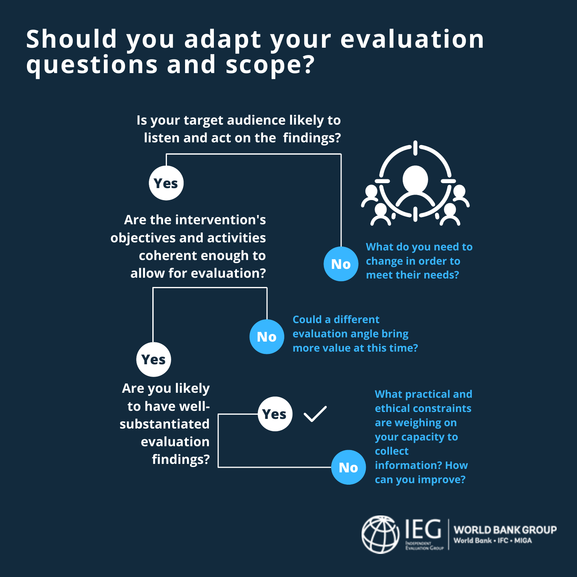## **Should you adapt your evaluation questions and scope?**

**Is your target audience likely to listen and act on the findings?**



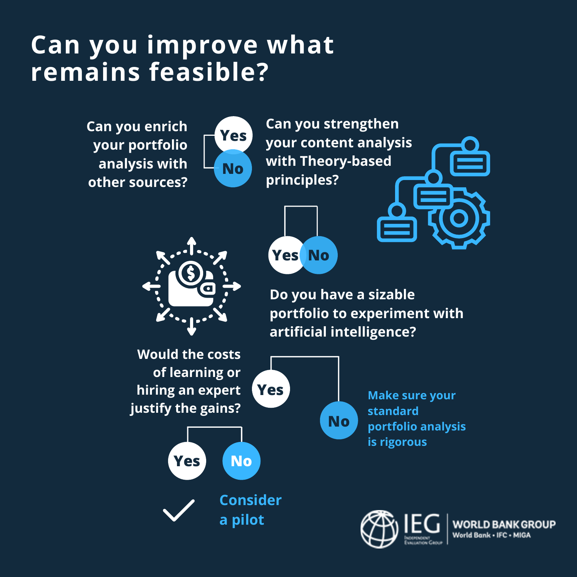## **Can you improve what remains feasible?**

**Can you enrich your portfolio analysis with other sources?**



**Can you strengthen your content analysis with Theory-based principles?**





**Do you have a sizable portfolio to experiment with artificial intelligence?**



WORLD BA World Bank - IFC - MIGA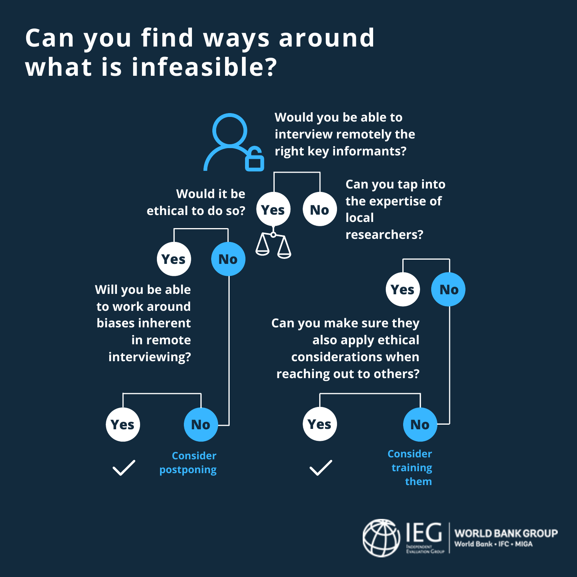## **Can you find ways around what is infeasible?**